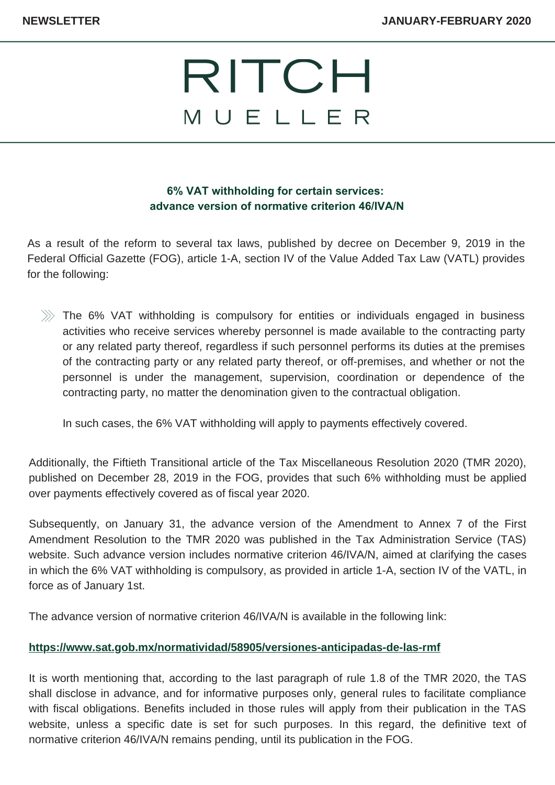## RITCH MUELLER

## **6% VAT withholding for certain services: advance version of normative criterion 46/IVA/N**

As a result of the reform to several tax laws, published by decree on December 9, 2019 in the Federal Official Gazette (FOG), article 1-A, section IV of the Value Added Tax Law (VATL) provides for the following:

 $\gg$  The 6% VAT withholding is compulsory for entities or individuals engaged in business activities who receive services whereby personnel is made available to the contracting party or any related party thereof, regardless if such personnel performs its duties at the premises of the contracting party or any related party thereof, or off-premises, and whether or not the personnel is under the management, supervision, coordination or dependence of the contracting party, no matter the denomination given to the contractual obligation.

In such cases, the 6% VAT withholding will apply to payments effectively covered.

Additionally, the Fiftieth Transitional article of the Tax Miscellaneous Resolution 2020 (TMR 2020), published on December 28, 2019 in the FOG, provides that such 6% withholding must be applied over payments effectively covered as of fiscal year 2020.

Subsequently, on January 31, the advance version of the Amendment to Annex 7 of the First Amendment Resolution to the TMR 2020 was published in the Tax Administration Service (TAS) website. Such advance version includes normative criterion 46/IVA/N, aimed at clarifying the cases in which the 6% VAT withholding is compulsory, as provided in article 1-A, section IV of the VATL, in force as of January 1st.

The advance version of normative criterion 46/IVA/N is available in the following link:

## **<https://www.sat.gob.mx/normatividad/58905/versiones-anticipadas-de-las-rmf>**

It is worth mentioning that, according to the last paragraph of rule 1.8 of the TMR 2020, the TAS shall disclose in advance, and for informative purposes only, general rules to facilitate compliance with fiscal obligations. Benefits included in those rules will apply from their publication in the TAS website, unless a specific date is set for such purposes. In this regard, the definitive text of normative criterion 46/IVA/N remains pending, until its publication in the FOG.